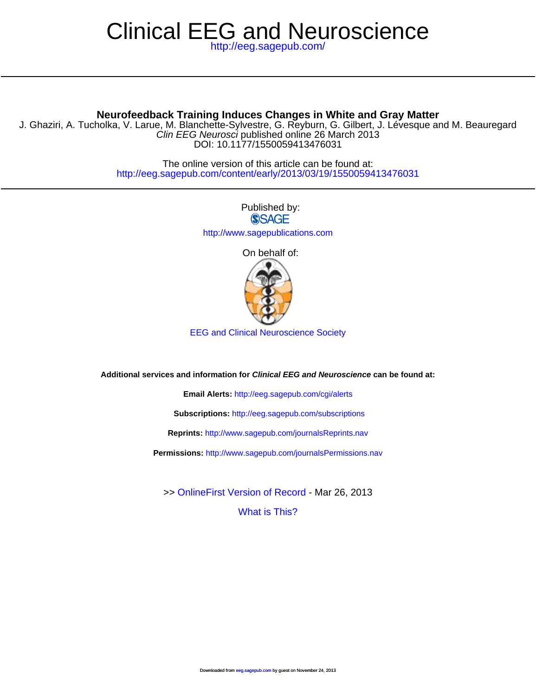# Clinical EEG and Neuroscience

<http://eeg.sagepub.com/>

# **Neurofeedback Training Induces Changes in White and Gray Matter**

D[OI: 10.1177/1550059413476031](http://www.sagepub.com/journalsReprints.nav) Clin EEG Neurosci published online 26 March 2013 J. Ghaziri, A. Tucholka, V. Larue, M. Blanchette-[Sylvestre, G. Reyburn, G. Gilber](http://eeg.sagepub.com/subscriptions)t, J. Lévesque and M. Beauregard

> <http://eeg.sagepub.com/content/early/2013/03/19/1550059413476031> The online version of this article can be found at:

> > Published by: **SSAGE** <http://www.sagepublications.com>

On behalf of:



EEG and Clinical Neuroscience Society

**Additional services and information for Clinical EEG and Neuroscience can be found at:**

**Email Alerts:** <http://eeg.sagepub.com/cgi/alerts>

**Subscriptions:** <http://eeg.sagepub.com/subscriptions>

**Reprints:** <http://www.sagepub.com/journalsReprints.nav>

**Permissions:** <http://www.sagepub.com/journalsPermissions.nav>

>> [OnlineFirst Version of Record -](http://eeg.sagepub.com/content/early/2013/03/19/1550059413476031.full.pdf) Mar 26, 2013

[What is This?](http://online.sagepub.com/site/sphelp/vorhelp.xhtml)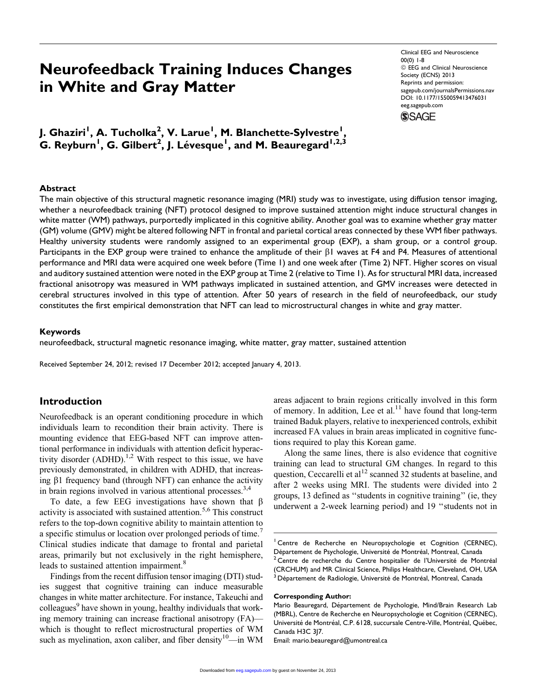# Neurofeedback Training Induces Changes in White and Gray Matter

Clinical EEG and Neuroscience 00(0) 1-8  $@$  EEG and Clinical Neuroscience Society (ECNS) 2013 Reprints and permission: [sagepub.com/journalsPermissions.nav](http://www.sagepub.com/journalsPermissions.nav) DOI: 10.1177/1550059413476031 [eeg.sagepub.com](http://eeg.sagepub.com)



J. Ghaziri<sup>I</sup>, A. Tucholka<sup>2</sup>, V. Larue<sup>I</sup>, M. Blanchette-Sylvestre<sup>I</sup>,  ${\mathsf G}.$  Reyburn<sup>1</sup>, G. Gilbert<sup>2</sup>, J. Lévesque<sup>1</sup>, and M. Beauregard<sup>1,2,3</sup>

#### Abstract

The main objective of this structural magnetic resonance imaging (MRI) study was to investigate, using diffusion tensor imaging, whether a neurofeedback training (NFT) protocol designed to improve sustained attention might induce structural changes in white matter (WM) pathways, purportedly implicated in this cognitive ability. Another goal was to examine whether gray matter (GM) volume (GMV) might be altered following NFT in frontal and parietal cortical areas connected by these WM fiber pathways. Healthy university students were randomly assigned to an experimental group (EXP), a sham group, or a control group. Participants in the EXP group were trained to enhance the amplitude of their  $\beta$ 1 waves at F4 and P4. Measures of attentional performance and MRI data were acquired one week before (Time 1) and one week after (Time 2) NFT. Higher scores on visual and auditory sustained attention were noted in the EXP group at Time 2 (relative to Time 1). As for structural MRI data, increased fractional anisotropy was measured in WM pathways implicated in sustained attention, and GMV increases were detected in cerebral structures involved in this type of attention. After 50 years of research in the field of neurofeedback, our study constitutes the first empirical demonstration that NFT can lead to microstructural changes in white and gray matter.

#### Keywords

neurofeedback, structural magnetic resonance imaging, white matter, gray matter, sustained attention

Received September 24, 2012; revised 17 December 2012; accepted January 4, 2013.

# Introduction

Neurofeedback is an operant conditioning procedure in which individuals learn to recondition their brain activity. There is mounting evidence that EEG-based NFT can improve attentional performance in individuals with attention deficit hyperactivity disorder  $(ADHD)$ .<sup>1,2</sup> With respect to this issue, we have previously demonstrated, in children with ADHD, that increasing  $\beta$ 1 frequency band (through NFT) can enhance the activity in brain regions involved in various attentional processes.<sup>3,4</sup>

To date, a few EEG investigations have shown that  $\beta$ activity is associated with sustained attention.<sup>5,6</sup> This construct refers to the top-down cognitive ability to maintain attention to a specific stimulus or location over prolonged periods of time. Clinical studies indicate that damage to frontal and parietal areas, primarily but not exclusively in the right hemisphere, leads to sustained attention impairment.<sup>8</sup>

Findings from the recent diffusion tensor imaging (DTI) studies suggest that cognitive training can induce measurable changes in white matter architecture. For instance, Takeuchi and colleagues<sup>9</sup> have shown in young, healthy individuals that working memory training can increase fractional anisotropy (FA) which is thought to reflect microstructural properties of WM such as myelination, axon caliber, and fiber density<sup>10</sup>—in WM areas adjacent to brain regions critically involved in this form of memory. In addition, Lee et al. $<sup>11</sup>$  have found that long-term</sup> trained Baduk players, relative to inexperienced controls, exhibit increased FA values in brain areas implicated in cognitive functions required to play this Korean game.

Along the same lines, there is also evidence that cognitive training can lead to structural GM changes. In regard to this question, Ceccarelli et  $al<sup>12</sup>$  scanned 32 students at baseline, and after 2 weeks using MRI. The students were divided into 2 groups, 13 defined as ''students in cognitive training'' (ie, they underwent a 2-week learning period) and 19 ''students not in

#### Corresponding Author:

<sup>&</sup>lt;sup>1</sup> Centre de Recherche en Neuropsychologie et Cognition (CERNEC), Département de Psychologie, Université de Montréal, Montreal, Canada <sup>2</sup> Centre de recherche du Centre hospitalier de l'Université de Montréal (CRCHUM) and MR Clinical Science, Philips Healthcare, Cleveland, OH, USA <sup>3</sup> Département de Radiologie, Université de Montréal, Montreal, Canada

Mario Beauregard, Département de Psychologie, Mind/Brain Research Lab (MBRL), Centre de Recherche en Neuropsychologie et Cognition (CERNEC), Université de Montréal, C.P. 6128, succursale Centre-Ville, Montréal, Québec, Canada H3C 3J7.

Email: m[ario.beauregar](http://eeg.sagepub.com/)d@umontreal.ca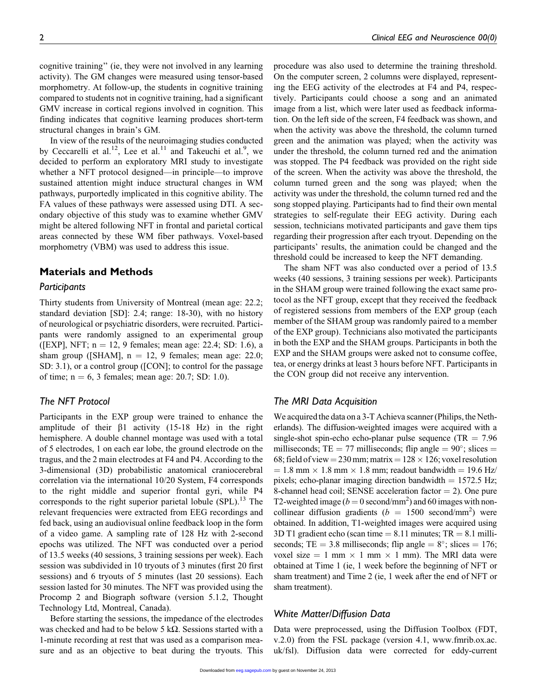cognitive training'' (ie, they were not involved in any learning activity). The GM changes were measured using tensor-based morphometry. At follow-up, the students in cognitive training compared to students not in cognitive training, had a significant GMV increase in cortical regions involved in cognition. This finding indicates that cognitive learning produces short-term structural changes in brain's GM.

In view of the results of the neuroimaging studies conducted by Ceccarelli et al.<sup>12</sup>, Lee et al.<sup>11</sup> and Takeuchi et al.<sup>9</sup>, we decided to perform an exploratory MRI study to investigate whether a NFT protocol designed—in principle—to improve sustained attention might induce structural changes in WM pathways, purportedly implicated in this cognitive ability. The FA values of these pathways were assessed using DTI. A secondary objective of this study was to examine whether GMV might be altered following NFT in frontal and parietal cortical areas connected by these WM fiber pathways. Voxel-based morphometry (VBM) was used to address this issue.

# Materials and Methods

#### Participants

Thirty students from University of Montreal (mean age: 22.2; standard deviation [SD]: 2.4; range: 18-30), with no history of neurological or psychiatric disorders, were recruited. Participants were randomly assigned to an experimental group ([EXP], NFT;  $n = 12$ , 9 females; mean age: 22.4; SD: 1.6), a sham group ([SHAM],  $n = 12$ , 9 females; mean age: 22.0; SD: 3.1), or a control group ([CON]; to control for the passage of time;  $n = 6$ , 3 females; mean age: 20.7; SD: 1.0).

# The NFT Protocol

Participants in the EXP group were trained to enhance the amplitude of their  $\beta$ 1 activity (15-18 Hz) in the right hemisphere. A double channel montage was used with a total of 5 electrodes, 1 on each ear lobe, the ground electrode on the tragus, and the 2 main electrodes at F4 and P4. According to the 3-dimensional (3D) probabilistic anatomical craniocerebral correlation via the international 10/20 System, F4 corresponds to the right middle and superior frontal gyri, while P4 corresponds to the right superior parietal lobule  $(SPL)$ .<sup>13</sup> The relevant frequencies were extracted from EEG recordings and fed back, using an audiovisual online feedback loop in the form of a video game. A sampling rate of 128 Hz with 2-second epochs was utilized. The NFT was conducted over a period of 13.5 weeks (40 sessions, 3 training sessions per week). Each session was subdivided in 10 tryouts of 3 minutes (first 20 first sessions) and 6 tryouts of 5 minutes (last 20 sessions). Each session lasted for 30 minutes. The NFT was provided using the Procomp 2 and Biograph software (version 5.1.2, Thought Technology Ltd, Montreal, Canada).

Before starting the sessions, the impedance of the electrodes was checked and had to be below 5 kΩ. Sessions started with a 1-minute recording at rest that was used as a comparison measure and as an objective to beat during the tryouts. This procedure was also used to determine the training threshold. On the computer screen, 2 columns were displayed, representing the EEG activity of the electrodes at F4 and P4, respectively. Participants could choose a song and an animated image from a list, which were later used as feedback information. On the left side of the screen, F4 feedback was shown, and when the activity was above the threshold, the column turned green and the animation was played; when the activity was under the threshold, the column turned red and the animation was stopped. The P4 feedback was provided on the right side of the screen. When the activity was above the threshold, the column turned green and the song was played; when the activity was under the threshold, the column turned red and the song stopped playing. Participants had to find their own mental strategies to self-regulate their EEG activity. During each session, technicians motivated participants and gave them tips regarding their progression after each tryout. Depending on the participants' results, the animation could be changed and the threshold could be increased to keep the NFT demanding.

The sham NFT was also conducted over a period of 13.5 weeks (40 sessions, 3 training sessions per week). Participants in the SHAM group were trained following the exact same protocol as the NFT group, except that they received the feedback of registered sessions from members of the EXP group (each member of the SHAM group was randomly paired to a member of the EXP group). Technicians also motivated the participants in both the EXP and the SHAM groups. Participants in both the EXP and the SHAM groups were asked not to consume coffee, tea, or energy drinks at least 3 hours before NFT. Participants in the CON group did not receive any intervention.

#### The MRI Data Acquisition

We acquired the data on a  $3$ -T Achieva scanner (Philips, the Netherlands). The diffusion-weighted images were acquired with a single-shot spin-echo echo-planar pulse sequence (TR  $= 7.96$ ) milliseconds; TE = 77 milliseconds; flip angle =  $90^{\circ}$ ; slices = 68; field of view = 230 mm; matrix =  $128 \times 126$ ; voxel resolution  $= 1.8$  mm  $\times$  1.8 mm  $\times$  1.8 mm; readout bandwidth  $= 19.6$  Hz/ pixels; echo-planar imaging direction bandwidth  $= 1572.5$  Hz; 8-channel head coil; SENSE acceleration factor  $= 2$ ). One pure T2-weighted image ( $b = 0$  second/mm<sup>2</sup>) and 60 images with noncollinear diffusion gradients ( $b = 1500$  second/mm<sup>2</sup>) were obtained. In addition, T1-weighted images were acquired using 3D T1 gradient echo (scan time  $= 8.11$  minutes; TR  $= 8.1$  milliseconds; TE = 3.8 milliseconds; flip angle =  $8^\circ$ ; slices = 176; voxel size = 1 mm  $\times$  1 mm  $\times$  1 mm). The MRI data were obtained at Time 1 (ie, 1 week before the beginning of NFT or sham treatment) and Time 2 (ie, 1 week after the end of NFT or sham treatment).

#### White Matter/Diffusion Data

Data were preprocessed, using the Diffusion Toolbox (FDT, v.2.0) [from the F](http://eeg.sagepub.com/)SL package (version 4.1, www.fmrib.ox.ac. uk/fsl). Diffusion data were corrected for eddy-current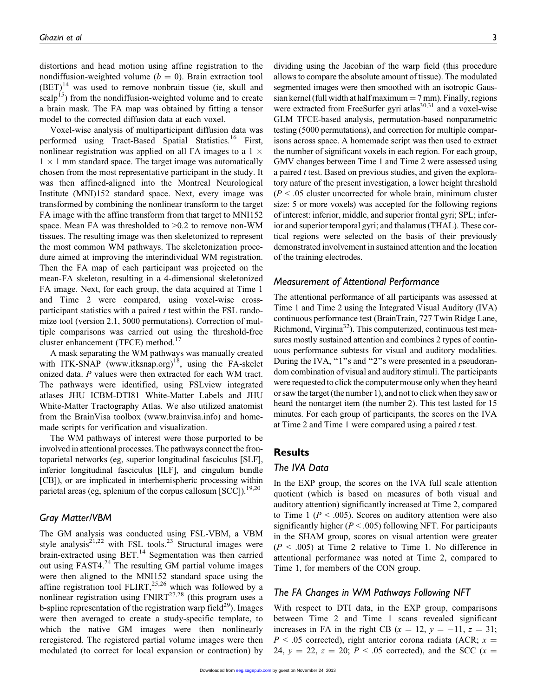distortions and head motion using affine registration to the nondiffusion-weighted volume ( $b = 0$ ). Brain extraction tool  $(BET)^{14}$  was used to remove nonbrain tissue (ie, skull and scalp<sup>15</sup>) from the nondiffusion-weighted volume and to create a brain mask. The FA map was obtained by fitting a tensor model to the corrected diffusion data at each voxel.

Voxel-wise analysis of multiparticipant diffusion data was performed using Tract-Based Spatial Statistics.<sup>16</sup> First, nonlinear registration was applied on all FA images to a  $1 \times$  $1 \times 1$  mm standard space. The target image was automatically chosen from the most representative participant in the study. It was then affined-aligned into the Montreal Neurological Institute (MNI)152 standard space. Next, every image was transformed by combining the nonlinear transform to the target FA image with the affine transform from that target to MNI152 space. Mean FA was thresholded to >0.2 to remove non-WM tissues. The resulting image was then skeletonized to represent the most common WM pathways. The skeletonization procedure aimed at improving the interindividual WM registration. Then the FA map of each participant was projected on the mean-FA skeleton, resulting in a 4-dimensional skeletonized FA image. Next, for each group, the data acquired at Time 1 and Time 2 were compared, using voxel-wise crossparticipant statistics with a paired  $t$  test within the FSL randomize tool (version 2.1, 5000 permutations). Correction of multiple comparisons was carried out using the threshold-free cluster enhancement (TFCE) method.<sup>17</sup>

A mask separating the WM pathways was manually created with ITK-SNAP (www.itksnap.org)<sup>18</sup>, using the FA-skelet onized data. P values were then extracted for each WM tract. The pathways were identified, using FSLview integrated atlases JHU ICBM-DTI81 White-Matter Labels and JHU White-Matter Tractography Atlas. We also utilized anatomist from the BrainVisa toolbox (www.brainvisa.info) and homemade scripts for verification and visualization.

The WM pathways of interest were those purported to be involved in attentional processes. The pathways connect the frontoparietal networks (eg, superior longitudinal fasciculus [SLF], inferior longitudinal fasciculus [ILF], and cingulum bundle [CB]), or are implicated in interhemispheric processing within parietal areas (eg, splenium of the corpus callosum [SCC]).<sup>19,20</sup>

#### Gray Matter/VBM

The GM analysis was conducted using FSL-VBM, a VBM style analysis<sup>21,22</sup> with FSL tools.<sup>23</sup> Structural images were brain-extracted using BET.<sup>14</sup> Segmentation was then carried out using FAST4.<sup>24</sup> The resulting GM partial volume images were then aligned to the MNI152 standard space using the affine registration tool FLIRT,<sup>25,26</sup> which was followed by a nonlinear registration using  $FNIRT^{27,28}$  (this program uses a b-spline representation of the registration warp field<sup>29</sup>). Images were then averaged to create a study-specific template, to which the native GM images were then nonlinearly reregistered. The registered partial volume images were then modulated (to correct for local expansion or contraction) by

dividing using the Jacobian of the warp field (this procedure allows to compare the absolute amount of tissue). The modulated segmented images were then smoothed with an isotropic Gaussian kernel (full width at half maximum  $= 7$  mm). Finally, regions were extracted from FreeSurfer gyri atlas $30,31$  and a voxel-wise GLM TFCE-based analysis, permutation-based nonparametric testing (5000 permutations), and correction for multiple comparisons across space. A homemade script was then used to extract the number of significant voxels in each region. For each group, GMV changes between Time 1 and Time 2 were assessed using a paired  $t$  test. Based on previous studies, and given the exploratory nature of the present investigation, a lower height threshold  $(P < .05$  cluster uncorrected for whole brain, minimum cluster size: 5 or more voxels) was accepted for the following regions of interest: inferior, middle, and superior frontal gyri; SPL; inferior and superior temporal gyri; and thalamus (THAL). These cortical regions were selected on the basis of their previously demonstrated involvement in sustained attention and the location of the training electrodes.

#### Measurement of Attentional Performance

The attentional performance of all participants was assessed at Time 1 and Time 2 using the Integrated Visual Auditory (IVA) continuous performance test (BrainTrain, 727 Twin Ridge Lane, Richmond, Virginia $^{32}$ ). This computerized, continuous test measures mostly sustained attention and combines 2 types of continuous performance subtests for visual and auditory modalities. During the IVA, "1"s and "2"s were presented in a pseudorandom combination of visual and auditory stimuli. The participants were requested to click the computer mouse only when they heard or saw the target (the number 1), and not to click when they saw or heard the nontarget item (the number 2). This test lasted for 15 minutes. For each group of participants, the scores on the IVA at Time 2 and Time 1 were compared using a paired  $t$  test.

#### **Results**

#### The IVA Data

In the EXP group, the scores on the IVA full scale attention quotient (which is based on measures of both visual and auditory attention) significantly increased at Time 2, compared to Time 1 ( $P < .005$ ). Scores on auditory attention were also significantly higher ( $P < .005$ ) following NFT. For participants in the SHAM group, scores on visual attention were greater  $(P < .005)$  at Time 2 relative to Time 1. No difference in attentional performance was noted at Time 2, compared to Time 1, for members of the CON group.

# The FA Changes in WM Pathways Following NFT

With respect to DTI data, in the EXP group, comparisons between Time 2 and Time 1 scans revealed significant increases in FA in the right CB ( $x = 12$ ,  $y = -11$ ,  $z = 31$ ;  $P < .05$  corrected), right anterior corona radiata (ACR;  $x =$ 24,  $y = 22$ ,  $z = 20$ ;  $P < .05$  corrected), and the SCC (x =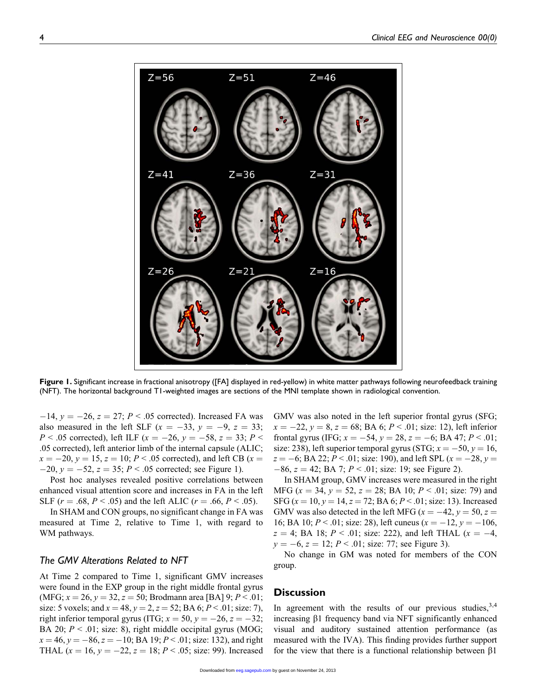

Figure 1. Significant increase in fractional anisotropy ([FA] displayed in red-yellow) in white matter pathways following neurofeedback training (NFT). The horizontal background T1-weighted images are sections of the MNI template shown in radiological convention.

 $-14$ ,  $y = -26$ ,  $z = 27$ ;  $P < .05$  corrected). Increased FA was also measured in the left SLF ( $x = -33$ ,  $y = -9$ ,  $z = 33$ ;  $P < .05$  corrected), left ILF ( $x = -26$ ,  $y = -58$ ,  $z = 33$ ;  $P <$ .05 corrected), left anterior limb of the internal capsule (ALIC;  $x = -20$ ,  $y = 15$ ,  $z = 10$ ;  $P < .05$  corrected), and left CB (x =  $-20$ ,  $y = -52$ ,  $z = 35$ ;  $P < .05$  corrected; see Figure 1).

Post hoc analyses revealed positive correlations between enhanced visual attention score and increases in FA in the left SLF ( $r = .68$ ,  $P < .05$ ) and the left ALIC ( $r = .66$ ,  $P < .05$ ).

In SHAM and CON groups, no significant change in FA was measured at Time 2, relative to Time 1, with regard to WM pathways.

#### The GMV Alterations Related to NFT

At Time 2 compared to Time 1, significant GMV increases were found in the EXP group in the right middle frontal gyrus (MFG;  $x = 26$ ,  $y = 32$ ,  $z = 50$ ; Brodmann area [BA] 9;  $P < .01$ ; size: 5 voxels; and  $x = 48$ ,  $y = 2$ ,  $z = 52$ ; BA 6;  $P < .01$ ; size: 7), right inferior temporal gyrus (ITG;  $x = 50$ ,  $y = -26$ ,  $z = -32$ ; BA 20;  $P < .01$ ; size: 8), right middle occipital gyrus (MOG;  $x = 46$ ,  $y = -86$ ,  $z = -10$ ; BA 19;  $P < 0.01$ ; size: 132), and right THAL  $(x = 16, y = -22, z = 18; P < .05;$  size: 99). Increased

GMV was also noted in the left superior frontal gyrus (SFG;  $x = -22$ ,  $y = 8$ ,  $z = 68$ ; BA 6;  $P < .01$ ; size: 12), left inferior frontal gyrus (IFG;  $x = -54$ ,  $y = 28$ ,  $z = -6$ ; BA 47;  $P < .01$ ; size: 238), left superior temporal gyrus (STG;  $x = -50$ ,  $y = 16$ ,  $z = -6$ ; BA 22; P < .01; size: 190), and left SPL ( $x = -28$ ,  $y =$  $-86$ ,  $z = 42$ ; BA 7;  $P < .01$ ; size: 19; see Figure 2).

In SHAM group, GMV increases were measured in the right MFG ( $x = 34$ ,  $y = 52$ ,  $z = 28$ ; BA 10;  $P < .01$ ; size: 79) and SFG ( $x = 10$ ,  $y = 14$ ,  $z = 72$ ; BA 6;  $P < .01$ ; size: 13). Increased GMV was also detected in the left MFG ( $x = -42$ ,  $y = 50$ ,  $z =$ 16; BA 10;  $P < 0.01$ ; size: 28), left cuneus ( $x = -12$ ,  $y = -106$ ,  $z = 4$ ; BA 18;  $P < .01$ ; size: 222), and left THAL ( $x = -4$ ,  $y = -6$ ,  $z = 12$ ;  $P < .01$ ; size: 77; see Figure 3).

No change in GM was noted for members of the CON group.

#### **Discussion**

In agreement with the results of our previous studies,  $3,4$ increasing  $\beta$ 1 frequency band via NFT significantly enhanced visual and auditory sustained attention performance (as measu[red with the](http://eeg.sagepub.com/) IVA). This finding provides further support for the view that there is a functional relationship between  $\beta$ 1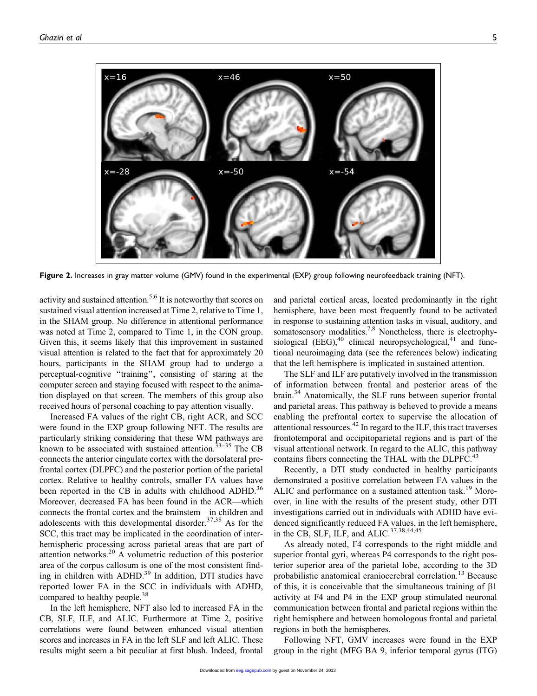

Figure 2. Increases in gray matter volume (GMV) found in the experimental (EXP) group following neurofeedback training (NFT).

activity and sustained attention.<sup>5,6</sup> It is noteworthy that scores on sustained visual attention increased at Time 2, relative to Time 1, in the SHAM group. No difference in attentional performance was noted at Time 2, compared to Time 1, in the CON group. Given this, it seems likely that this improvement in sustained visual attention is related to the fact that for approximately 20 hours, participants in the SHAM group had to undergo a perceptual-cognitive ''training'', consisting of staring at the computer screen and staying focused with respect to the animation displayed on that screen. The members of this group also received hours of personal coaching to pay attention visually.

Increased FA values of the right CB, right ACR, and SCC were found in the EXP group following NFT. The results are particularly striking considering that these WM pathways are known to be associated with sustained attention.<sup>33-35</sup> The CB connects the anterior cingulate cortex with the dorsolateral prefrontal cortex (DLPFC) and the posterior portion of the parietal cortex. Relative to healthy controls, smaller FA values have been reported in the CB in adults with childhood ADHD.<sup>36</sup> Moreover, decreased FA has been found in the ACR—which connects the frontal cortex and the brainstem—in children and adolescents with this developmental disorder. $37,38$  As for the SCC, this tract may be implicated in the coordination of interhemispheric processing across parietal areas that are part of attention networks.20 A volumetric reduction of this posterior area of the corpus callosum is one of the most consistent finding in children with ADHD.<sup>39</sup> In addition, DTI studies have reported lower FA in the SCC in individuals with ADHD, compared to healthy people.<sup>38</sup>

In the left hemisphere, NFT also led to increased FA in the CB, SLF, ILF, and ALIC. Furthermore at Time 2, positive correlations were found between enhanced visual attention scores and increases in FA in the left SLF and left ALIC. These results might seem a bit peculiar at first blush. Indeed, frontal

and parietal cortical areas, located predominantly in the right hemisphere, have been most frequently found to be activated in response to sustaining attention tasks in visual, auditory, and somatosensory modalities.<sup>7,8</sup> Nonetheless, there is electrophysiological (EEG), $40$  clinical neuropsychological, $41$  and functional neuroimaging data (see the references below) indicating that the left hemisphere is implicated in sustained attention.

The SLF and ILF are putatively involved in the transmission of information between frontal and posterior areas of the brain.<sup>34</sup> Anatomically, the SLF runs between superior frontal and parietal areas. This pathway is believed to provide a means enabling the prefrontal cortex to supervise the allocation of attentional ressources.<sup>42</sup> In regard to the ILF, this tract traverses frontotemporal and occipitoparietal regions and is part of the visual attentional network. In regard to the ALIC, this pathway contains fibers connecting the THAL with the DLPFC.<sup>43</sup>

Recently, a DTI study conducted in healthy participants demonstrated a positive correlation between FA values in the ALIC and performance on a sustained attention task.<sup>19</sup> Moreover, in line with the results of the present study, other DTI investigations carried out in individuals with ADHD have evidenced significantly reduced FA values, in the left hemisphere, in the CB, SLF, ILF, and ALIC. $37,38,44,45$ 

As already noted, F4 corresponds to the right middle and superior frontal gyri, whereas P4 corresponds to the right posterior superior area of the parietal lobe, according to the 3D probabilistic anatomical craniocerebral correlation.<sup>13</sup> Because of this, it is conceivable that the simultaneous training of  $\beta$ 1 activity at F4 and P4 in the EXP group stimulated neuronal communication between frontal and parietal regions within the right hemisphere and between homologous frontal and parietal regions in both the hemispheres.

Fol[lowing NFT](http://eeg.sagepub.com/), GMV increases were found in the EXP group in the right (MFG BA 9, inferior temporal gyrus (ITG)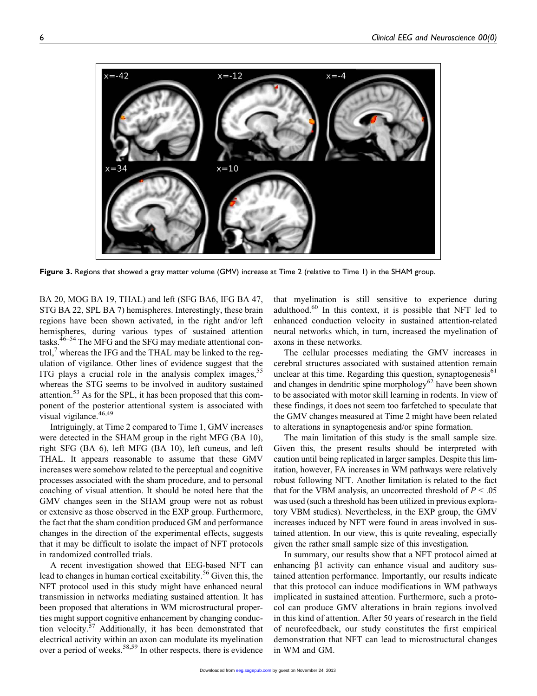

Figure 3. Regions that showed a gray matter volume (GMV) increase at Time 2 (relative to Time 1) in the SHAM group.

BA 20, MOG BA 19, THAL) and left (SFG BA6, IFG BA 47, STG BA 22, SPL BA 7) hemispheres. Interestingly, these brain regions have been shown activated, in the right and/or left hemispheres, during various types of sustained attention tasks. $46-54$  The MFG and the SFG may mediate attentional control, $\frac{7}{7}$  whereas the IFG and the THAL may be linked to the regulation of vigilance. Other lines of evidence suggest that the ITG plays a crucial role in the analysis complex images,<sup>55</sup> whereas the STG seems to be involved in auditory sustained attention.<sup>53</sup> As for the SPL, it has been proposed that this component of the posterior attentional system is associated with visual vigilance.<sup>46,49</sup>

Intriguingly, at Time 2 compared to Time 1, GMV increases were detected in the SHAM group in the right MFG (BA 10), right SFG (BA 6), left MFG (BA 10), left cuneus, and left THAL. It appears reasonable to assume that these GMV increases were somehow related to the perceptual and cognitive processes associated with the sham procedure, and to personal coaching of visual attention. It should be noted here that the GMV changes seen in the SHAM group were not as robust or extensive as those observed in the EXP group. Furthermore, the fact that the sham condition produced GM and performance changes in the direction of the experimental effects, suggests that it may be difficult to isolate the impact of NFT protocols in randomized controlled trials.

A recent investigation showed that EEG-based NFT can lead to changes in human cortical excitability.<sup>56</sup> Given this, the NFT protocol used in this study might have enhanced neural transmission in networks mediating sustained attention. It has been proposed that alterations in WM microstructural properties might support cognitive enhancement by changing conduction velocity.<sup>57</sup> Additionally, it has been demonstrated that electrical activity within an axon can modulate its myelination over a period of weeks.<sup>58,59</sup> In other respects, there is evidence

that myelination is still sensitive to experience during adulthood. $60$  In this context, it is possible that NFT led to enhanced conduction velocity in sustained attention-related neural networks which, in turn, increased the myelination of axons in these networks.

The cellular processes mediating the GMV increases in cerebral structures associated with sustained attention remain unclear at this time. Regarding this question, synaptogenesis $61$ and changes in dendritic spine morphology<sup>62</sup> have been shown to be associated with motor skill learning in rodents. In view of these findings, it does not seem too farfetched to speculate that the GMV changes measured at Time 2 might have been related to alterations in synaptogenesis and/or spine formation.

The main limitation of this study is the small sample size. Given this, the present results should be interpreted with caution until being replicated in larger samples. Despite this limitation, however, FA increases in WM pathways were relatively robust following NFT. Another limitation is related to the fact that for the VBM analysis, an uncorrected threshold of  $P < .05$ was used (such a threshold has been utilized in previous exploratory VBM studies). Nevertheless, in the EXP group, the GMV increases induced by NFT were found in areas involved in sustained attention. In our view, this is quite revealing, especially given the rather small sample size of this investigation.

In summary, our results show that a NFT protocol aimed at enhancing  $\beta$ 1 activity can enhance visual and auditory sustained attention performance. Importantly, our results indicate that this protocol can induce modifications in WM pathways implicated in sustained attention. Furthermore, such a protocol can produce GMV alterations in brain regions involved in this kind of attention. After 50 years of research in the field of neurofeedback, our study constitutes the first empirical demo[nstration tha](http://eeg.sagepub.com/)t NFT can lead to microstructural changes in WM and GM.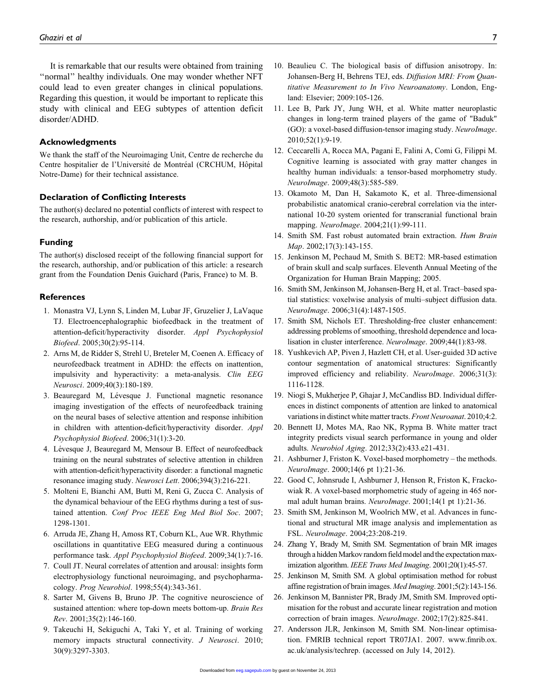It is remarkable that our results were obtained from training ''normal'' healthy individuals. One may wonder whether NFT could lead to even greater changes in clinical populations. Regarding this question, it would be important to replicate this study with clinical and EEG subtypes of attention deficit disorder/ADHD.

#### Acknowledgments

We thank the staff of the Neuroimaging Unit, Centre de recherche du Centre hospitalier de l'Université de Montréal (CRCHUM, Hôpital Notre-Dame) for their technical assistance.

#### Declaration of Conflicting Interests

The author(s) declared no potential conflicts of interest with respect to the research, authorship, and/or publication of this article.

#### Funding

The author(s) disclosed receipt of the following financial support for the research, authorship, and/or publication of this article: a research grant from the Foundation Denis Guichard (Paris, France) to M. B.

#### **References**

- 1. Monastra VJ, Lynn S, Linden M, Lubar JF, Gruzelier J, LaVaque TJ. Electroencephalographic biofeedback in the treatment of attention-deficit/hyperactivity disorder. Appl Psychophysiol Biofeed. 2005;30(2):95-114.
- 2. Arns M, de Ridder S, Strehl U, Breteler M, Coenen A. Efficacy of neurofeedback treatment in ADHD: the effects on inattention, impulsivity and hyperactivity: a meta-analysis. Clin EEG Neurosci. 2009;40(3):180-189.
- 3. Beauregard M, Lévesque J. Functional magnetic resonance imaging investigation of the effects of neurofeedback training on the neural bases of selective attention and response inhibition in children with attention-deficit/hyperactivity disorder. Appl Psychophysiol Biofeed. 2006;31(1):3-20.
- 4. Lévesque J, Beauregard M, Mensour B. Effect of neurofeedback training on the neural substrates of selective attention in children with attention-deficit/hyperactivity disorder: a functional magnetic resonance imaging study. Neurosci Lett. 2006;394(3):216-221.
- 5. Molteni E, Bianchi AM, Butti M, Reni G, Zucca C. Analysis of the dynamical behaviour of the EEG rhythms during a test of sustained attention. Conf Proc IEEE Eng Med Biol Soc. 2007; 1298-1301.
- 6. Arruda JE, Zhang H, Amoss RT, Coburn KL, Aue WR. Rhythmic oscillations in quantitative EEG measured during a continuous performance task. Appl Psychophysiol Biofeed. 2009;34(1):7-16.
- 7. Coull JT. Neural correlates of attention and arousal: insights form electrophysiology functional neuroimaging, and psychopharmacology. Prog Neurobiol. 1998;55(4):343-361.
- 8. Sarter M, Givens B, Bruno JP. The cognitive neuroscience of sustained attention: where top-down meets bottom-up. Brain Res Rev. 2001;35(2):146-160.
- 9. Takeuchi H, Sekiguchi A, Taki Y, et al. Training of working memory impacts structural connectivity. J Neurosci. 2010; 30(9):3297-3303.
- 10. Beaulieu C. The biological basis of diffusion anisotropy. In: Johansen-Berg H, Behrens TEJ, eds. Diffusion MRI: From Quantitative Measurement to In Vivo Neuroanatomy. London, England: Elsevier; 2009:105-126.
- 11. Lee B, Park JY, Jung WH, et al. White matter neuroplastic changes in long-term trained players of the game of "Baduk" (GO): a voxel-based diffusion-tensor imaging study. NeuroImage. 2010;52(1):9-19.
- 12. Ceccarelli A, Rocca MA, Pagani E, Falini A, Comi G, Filippi M. Cognitive learning is associated with gray matter changes in healthy human individuals: a tensor-based morphometry study. NeuroImage. 2009;48(3):585-589.
- 13. Okamoto M, Dan H, Sakamoto K, et al. Three-dimensional probabilistic anatomical cranio-cerebral correlation via the international 10-20 system oriented for transcranial functional brain mapping. NeuroImage. 2004;21(1):99-111.
- 14. Smith SM. Fast robust automated brain extraction. Hum Brain Map. 2002;17(3):143-155.
- 15. Jenkinson M, Pechaud M, Smith S. BET2: MR-based estimation of brain skull and scalp surfaces. Eleventh Annual Meeting of the Organization for Human Brain Mapping; 2005.
- 16. Smith SM, Jenkinson M, Johansen-Berg H, et al. Tract–based spatial statistics: voxelwise analysis of multi–subject diffusion data. NeuroImage. 2006;31(4):1487-1505.
- 17. Smith SM, Nichols ET. Thresholding-free cluster enhancement: addressing problems of smoothing, threshold dependence and localisation in cluster interference. NeuroImage. 2009;44(1):83-98.
- 18. Yushkevich AP, Piven J, Hazlett CH, et al. User-guided 3D active contour segmentation of anatomical structures: Significantly improved efficiency and reliability. NeuroImage. 2006;31(3): 1116-1128.
- 19. Niogi S, Mukherjee P, Ghajar J, McCandliss BD. Individual differences in distinct components of attention are linked to anatomical variations in distinct white matter tracts. Front Neuroanat. 2010;4:2.
- 20. Bennett IJ, Motes MA, Rao NK, Rypma B. White matter tract integrity predicts visual search performance in young and older adults. Neurobiol Aging. 2012;33(2):433.e21-431.
- 21. Ashburner J, Friston K. Voxel-based morphometry the methods. NeuroImage. 2000;14(6 pt 1):21-36.
- 22. Good C, Johnsrude I, Ashburner J, Henson R, Friston K, Frackowiak R. A voxel-based morphometric study of ageing in 465 normal adult human brains. NeuroImage. 2001;14(1 pt 1):21-36.
- 23. Smith SM, Jenkinson M, Woolrich MW, et al. Advances in functional and structural MR image analysis and implementation as FSL. NeuroImage. 2004;23:208-219.
- 24. Zhang Y, Brady M, Smith SM. Segmentation of brain MR images through a hidden Markov random field model and the expectation maximization algorithm. IEEE Trans Med Imaging. 2001;20(1):45-57.
- 25. Jenkinson M, Smith SM. A global optimisation method for robust affine registration of brain images. Med Imaging. 2001;5(2):143-156.
- 26. Jenkinson M, Bannister PR, Brady JM, Smith SM. Improved optimisation for the robust and accurate linear registration and motion correction of brain images. NeuroImage. 2002;17(2):825-841.
- 27. Andersson JLR, Jenkinson M, Smith SM. Non-linear optimisatio[n. FMRIB te](http://eeg.sagepub.com/)chnical report TR07JA1. 2007. [www.fmrib.ox.](www.fmrib.ox.ac.uk/analysis/techrep) [ac.uk/analysis/techrep.](www.fmrib.ox.ac.uk/analysis/techrep) (accessed on July 14, 2012).